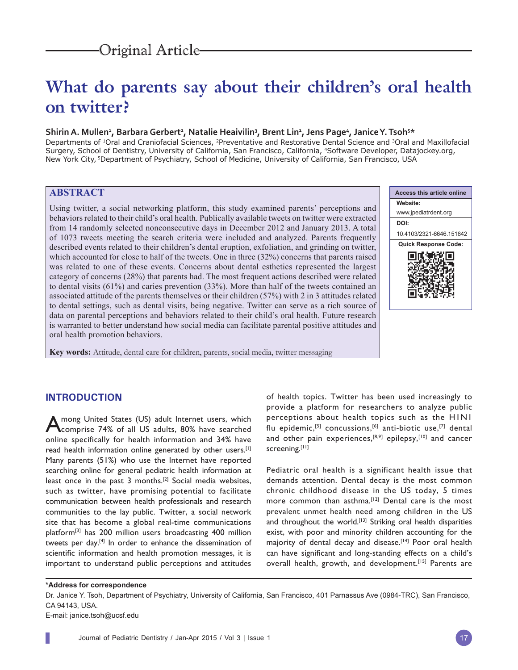# **What do parents say about their children's oral health on twitter?**

### Shirin A. Mullen<sup>1</sup>, Barbara Gerbert<sup>2</sup>, Natalie Heaivilin<sup>3</sup>, Brent Lin<sup>1</sup>, Jens Page<sup>4</sup>, Janice Y. Tsoh<sup>5\*</sup>

Departments of 1Oral and Craniofacial Sciences, 2Preventative and Restorative Dental Science and 3Oral and Maxillofacial Surgery, School of Dentistry, University of California, San Francisco, California, 4Software Developer, Datajockey.org, New York City, 5Department of Psychiatry, School of Medicine, University of California, San Francisco, USA

# **ABSTRACT**

Using twitter, a social networking platform, this study examined parents' perceptions and behaviors related to their child's oral health. Publically available tweets on twitter were extracted from 14 randomly selected nonconsecutive days in December 2012 and January 2013. A total of 1073 tweets meeting the search criteria were included and analyzed. Parents frequently described events related to their children's dental eruption, exfoliation, and grinding on twitter, which accounted for close to half of the tweets. One in three (32%) concerns that parents raised was related to one of these events. Concerns about dental esthetics represented the largest category of concerns (28%) that parents had. The most frequent actions described were related to dental visits (61%) and caries prevention (33%). More than half of the tweets contained an associated attitude of the parents themselves or their children (57%) with 2 in 3 attitudes related to dental settings, such as dental visits, being negative. Twitter can serve as a rich source of data on parental perceptions and behaviors related to their child's oral health. Future research is warranted to better understand how social media can facilitate parental positive attitudes and oral health promotion behaviors.

**Key words:** Attitude, dental care for children, parents, social media, twitter messaging



## **INTRODUCTION**

Among United States (US) adult Internet users, which<br>
comprise 74% of all US adults, 80% have searched online specifically for health information and 34% have read health information online generated by other users.<sup>[1]</sup> Many parents (51%) who use the Internet have reported searching online for general pediatric health information at least once in the past 3 months.[2] Social media websites, such as twitter, have promising potential to facilitate communication between health professionals and research communities to the lay public. Twitter, a social network site that has become a global real-time communications platform[3] has 200 million users broadcasting 400 million tweets per day.[4] In order to enhance the dissemination of scientific information and health promotion messages, it is important to understand public perceptions and attitudes

of health topics. Twitter has been used increasingly to provide a platform for researchers to analyze public perceptions about health topics such as the H1N1 flu epidemic,<sup>[5]</sup> concussions,<sup>[6]</sup> anti-biotic use,<sup>[7]</sup> dental and other pain experiences, $[8,9]$  epilepsy, $[10]$  and cancer screening.<sup>[11]</sup>

Pediatric oral health is a significant health issue that demands attention. Dental decay is the most common chronic childhood disease in the US today, 5 times more common than asthma.<sup>[12]</sup> Dental care is the most prevalent unmet health need among children in the US and throughout the world.<sup>[13]</sup> Striking oral health disparities exist, with poor and minority children accounting for the majority of dental decay and disease.<sup>[14]</sup> Poor oral health can have significant and long-standing effects on a child's overall health, growth, and development.<sup>[15]</sup> Parents are

#### **\*Address for correspondence**

Dr. Janice Y. Tsoh, Department of Psychiatry, University of California, San Francisco, 401 Parnassus Ave (0984-TRC), San Francisco, CA 94143, USA.

E-mail: janice.tsoh@ucsf.edu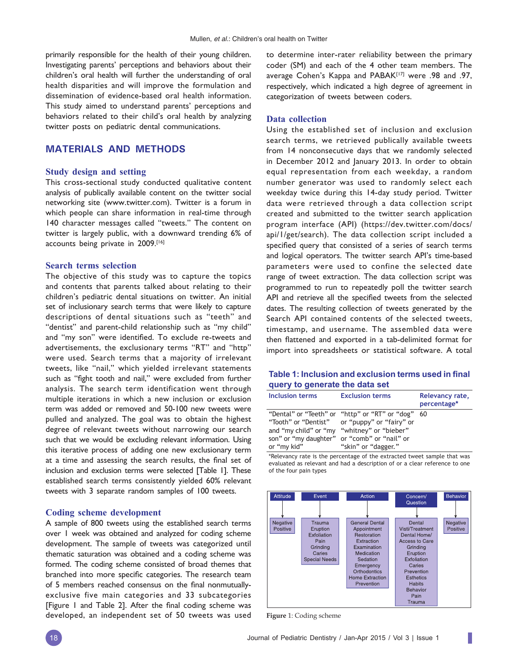primarily responsible for the health of their young children. Investigating parents' perceptions and behaviors about their children's oral health will further the understanding of oral health disparities and will improve the formulation and dissemination of evidence-based oral health information. This study aimed to understand parents' perceptions and behaviors related to their child's oral health by analyzing twitter posts on pediatric dental communications.

## **MATERIALS AND METHODS**

#### **Study design and setting**

This cross-sectional study conducted qualitative content analysis of publically available content on the twitter social networking site (www.twitter.com). Twitter is a forum in which people can share information in real-time through 140 character messages called "tweets." The content on twitter is largely public, with a downward trending 6% of accounts being private in 2009.[16]

#### **Search terms selection**

The objective of this study was to capture the topics and contents that parents talked about relating to their children's pediatric dental situations on twitter. An initial set of inclusionary search terms that were likely to capture descriptions of dental situations such as "teeth" and "dentist" and parent-child relationship such as "my child" and "my son" were identified. To exclude re-tweets and advertisements, the exclusionary terms "RT" and "http" were used. Search terms that a majority of irrelevant tweets, like "nail," which yielded irrelevant statements such as "fight tooth and nail," were excluded from further analysis. The search term identification went through multiple iterations in which a new inclusion or exclusion term was added or removed and 50-100 new tweets were pulled and analyzed. The goal was to obtain the highest degree of relevant tweets without narrowing our search such that we would be excluding relevant information. Using this iterative process of adding one new exclusionary term at a time and assessing the search results, the final set of inclusion and exclusion terms were selected [Table 1]. These established search terms consistently yielded 60% relevant tweets with 3 separate random samples of 100 tweets.

#### **Coding scheme development**

A sample of 800 tweets using the established search terms over 1 week was obtained and analyzed for coding scheme development. The sample of tweets was categorized until thematic saturation was obtained and a coding scheme was formed. The coding scheme consisted of broad themes that branched into more specific categories. The research team of 5 members reached consensus on the final nonmutuallyexclusive five main categories and 33 subcategories [Figure 1 and Table 2]. After the final coding scheme was developed, an independent set of 50 tweets was used

to determine inter-rater reliability between the primary coder (SM) and each of the 4 other team members. The average Cohen's Kappa and PABAK[17] were .98 and .97, respectively, which indicated a high degree of agreement in categorization of tweets between coders.

#### **Data collection**

Using the established set of inclusion and exclusion search terms, we retrieved publically available tweets from 14 nonconsecutive days that we randomly selected in December 2012 and January 2013. In order to obtain equal representation from each weekday, a random number generator was used to randomly select each weekday twice during this 14-day study period. Twitter data were retrieved through a data collection script created and submitted to the twitter search application program interface (API) (https://dev.twitter.com/docs/ api/1/get/search). The data collection script included a specified query that consisted of a series of search terms and logical operators. The twitter search API's time-based parameters were used to confine the selected date range of tweet extraction. The data collection script was programmed to run to repeatedly poll the twitter search API and retrieve all the specified tweets from the selected dates. The resulting collection of tweets generated by the Search API contained contents of the selected tweets, timestamp, and username. The assembled data were then flattened and exported in a tab-delimited format for import into spreadsheets or statistical software. A total

## **Table 1: Inclusion and exclusion terms used in final query to generate the data set**

| Inclusion terms                                                                    | <b>Exclusion terms</b>                                                                                                                            | Relevancy rate,<br>percentage* |
|------------------------------------------------------------------------------------|---------------------------------------------------------------------------------------------------------------------------------------------------|--------------------------------|
| "Tooth" or "Dentist"<br>and "my child" or "my "whitney" or "bieber"<br>or "my kid" | "Dental" or "Teeth" or "http" or "RT" or "dog"<br>or "puppy" or "fairy" or<br>son" or "my daughter" or "comb" or "nail" or<br>"skin" or "dagger." | - 60                           |

\*Relevancy rate is the percentage of the extracted tweet sample that was evaluated as relevant and had a description of or a clear reference to one of the four pain types



**Figure** 1: Coding scheme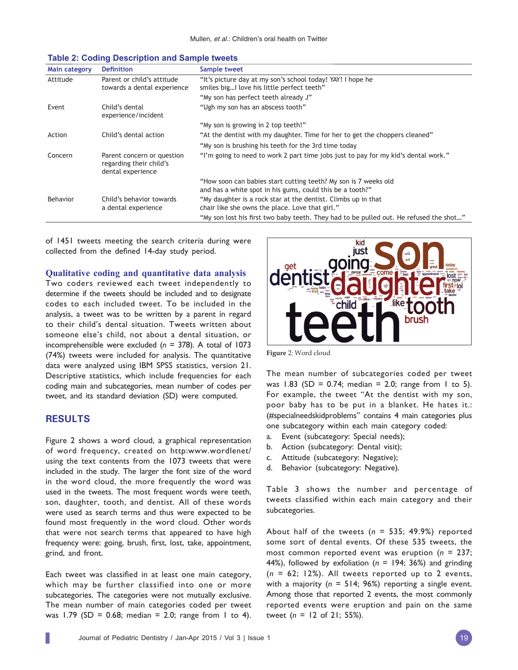| Main category | <b>Definition</b>                                                          | Sample tweet                                                                                                                 |
|---------------|----------------------------------------------------------------------------|------------------------------------------------------------------------------------------------------------------------------|
| Attitude      | Parent or child's attitude<br>towards a dental experience                  | "It's picture day at my son's school today! YAY! I hope he<br>smiles big I love his little perfect teeth"                    |
|               |                                                                            | "My son has perfect teeth already J"                                                                                         |
| Event         | Child's dental<br>experience/incident                                      | "Ugh my son has an abscess tooth"                                                                                            |
|               |                                                                            | "My son is growing in 2 top teeth!"                                                                                          |
| Action        | Child's dental action                                                      | "At the dentist with my daughter. Time for her to get the choppers cleaned"                                                  |
|               |                                                                            | "My son is brushing his teeth for the 3rd time today                                                                         |
| Concern       | Parent concern or question<br>regarding their child's<br>dental experience | "I'm going to need to work 2 part time jobs just to pay for my kid's dental work."                                           |
|               |                                                                            | "How soon can babies start cutting teeth? My son is 7 weeks old<br>and has a white spot in his gums, could this be a tooth?" |
| Behavior      | Child's behavior towards<br>a dental experience                            | "My daughter is a rock star at the dentist. Climbs up in that<br>chair like she owns the place. Love that girl."             |
|               |                                                                            | "My son lost his first two baby teeth. They had to be pulled out. He refused the shot"                                       |

#### **Table 2: Coding Description and Sample tweets**

of 1451 tweets meeting the search criteria during were collected from the defined 14-day study period.

**Qualitative coding and quantitative data analysis**

Two coders reviewed each tweet independently to determine if the tweets should be included and to designate codes to each included tweet. To be included in the analysis, a tweet was to be written by a parent in regard to their child's dental situation. Tweets written about someone else's child, not about a dental situation, or incomprehensible were excluded (*n* = 378). A total of 1073 (74%) tweets were included for analysis. The quantitative data were analyzed using IBM SPSS statistics, version 21. Descriptive statistics, which include frequencies for each coding main and subcategories, mean number of codes per tweet, and its standard deviation (SD) were computed.

## **RESULTS**

Figure 2 shows a word cloud, a graphical representation of word frequency, created on http:www.wordlenet/ using the text contents from the 1073 tweets that were included in the study. The larger the font size of the word in the word cloud, the more frequently the word was used in the tweets. The most frequent words were teeth, son, daughter, tooth, and dentist. All of these words were used as search terms and thus were expected to be found most frequently in the word cloud. Other words that were not search terms that appeared to have high frequency were: going, brush, first, lost, take, appointment, grind, and front.

Each tweet was classified in at least one main category, which may be further classified into one or more subcategories. The categories were not mutually exclusive. The mean number of main categories coded per tweet was 1.79 (SD = 0.68; median = 2.0; range from 1 to 4).



**Figure** 2: Word cloud

The mean number of subcategories coded per tweet was 1.83 (SD = 0.74; median = 2.0; range from 1 to 5). For example, the tweet "At the dentist with my son, poor baby has to be put in a blanket. He hates it.: (#specialneedskidproblems" contains 4 main categories plus one subcategory within each main category coded:

- a. Event (subcategory: Special needs);
- b. Action (subcategory: Dental visit);
- c. Attitude (subcategory: Negative);
- d. Behavior (subcategory: Negative).

Table 3 shows the number and percentage of tweets classified within each main category and their subcategories.

About half of the tweets (*n* = 535; 49.9%) reported some sort of dental events. Of these 535 tweets, the most common reported event was eruption (*n* = 237; 44%), followed by exfoliation (*n* = 194; 36%) and grinding  $(n = 62; 12%)$ . All tweets reported up to 2 events, with a majority (*n* = 514; 96%) reporting a single event. Among those that reported 2 events, the most commonly reported events were eruption and pain on the same tweet (*n* = 12 of 21; 55%).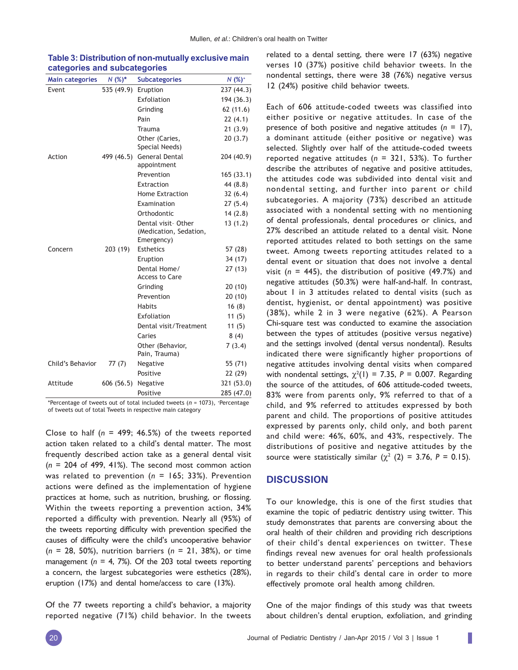| <b>Main categories</b> | $N(%)^*$   | <b>Subcategories</b>                                        | $N(%)^+$   |
|------------------------|------------|-------------------------------------------------------------|------------|
| Event                  | 535 (49.9) | Eruption                                                    | 237 (44.3) |
|                        |            | Exfoliation                                                 | 194 (36.3) |
|                        |            | Grinding                                                    | 62(11.6)   |
|                        |            | Pain                                                        | 22(4.1)    |
|                        |            | Trauma                                                      | 21(3.9)    |
|                        |            | Other (Caries,<br>Special Needs)                            | 20(3.7)    |
| Action                 | 499 (46.5) | General Dental<br>appointment                               | 204 (40.9) |
|                        |            | Prevention                                                  | 165(33.1)  |
|                        |            | Extraction                                                  | 44 (8.8)   |
|                        |            | <b>Home Extraction</b>                                      | 32(6.4)    |
|                        |            | Examination                                                 | 27(5.4)    |
|                        |            | Orthodontic                                                 | 14(2.8)    |
|                        |            | Dental visit- Other<br>(Medication, Sedation,<br>Emergency) | 13(1.2)    |
| Concern                | 203 (19)   | <b>Esthetics</b>                                            | 57 (28)    |
|                        |            | Eruption                                                    | 34 (17)    |
|                        |            | Dental Home/<br><b>Access to Care</b>                       | 27(13)     |
|                        |            | Grinding                                                    | 20(10)     |
|                        |            | Prevention                                                  | 20(10)     |
|                        |            | <b>Habits</b>                                               | 16(8)      |
|                        |            | Exfoliation                                                 | 11(5)      |
|                        |            | Dental visit/Treatment                                      | 11(5)      |
|                        |            | Caries                                                      | 8(4)       |
|                        |            | Other (Behavior,<br>Pain, Trauma)                           | 7(3.4)     |
| Child's Behavior       | 77(7)      | Negative                                                    | 55 (71)    |
|                        |            | Positive                                                    | 22 (29)    |
| Attitude               | 606(56.5)  | Negative                                                    | 321 (53.0) |
|                        |            | Positive                                                    | 285 (47.0) |

**Table 3: Distribution of non-mutually exclusive main categories and subcategories**

\*Percentage of tweets out of total included tweets (n = 1073), +Percentage of tweets out of total Tweets in respective main category

Close to half  $(n = 499; 46.5%)$  of the tweets reported action taken related to a child's dental matter. The most frequently described action take as a general dental visit (*n* = 204 of 499, 41%). The second most common action was related to prevention (*n* = 165; 33%). Prevention actions were defined as the implementation of hygiene practices at home, such as nutrition, brushing, or flossing. Within the tweets reporting a prevention action, 34% reported a difficulty with prevention. Nearly all (95%) of the tweets reporting difficulty with prevention specified the causes of difficulty were the child's uncooperative behavior (*n* = 28, 50%), nutrition barriers (*n* = 21, 38%), or time management (*n* = 4, 7%). Of the 203 total tweets reporting a concern, the largest subcategories were esthetics (28%), eruption (17%) and dental home/access to care (13%).

Of the 77 tweets reporting a child's behavior, a majority reported negative (71%) child behavior. In the tweets related to a dental setting, there were 17 (63%) negative verses 10 (37%) positive child behavior tweets. In the nondental settings, there were 38 (76%) negative versus 12 (24%) positive child behavior tweets.

Each of 606 attitude-coded tweets was classified into either positive or negative attitudes. In case of the presence of both positive and negative attitudes (*n* = 17), a dominant attitude (either positive or negative) was selected. Slightly over half of the attitude-coded tweets reported negative attitudes (*n* = 321, 53%). To further describe the attributes of negative and positive attitudes, the attitudes code was subdivided into dental visit and nondental setting, and further into parent or child subcategories. A majority (73%) described an attitude associated with a nondental setting with no mentioning of dental professionals, dental procedures or clinics, and 27% described an attitude related to a dental visit. None reported attitudes related to both settings on the same tweet. Among tweets reporting attitudes related to a dental event or situation that does not involve a dental visit (*n* = 445), the distribution of positive (49.7%) and negative attitudes (50.3%) were half-and-half. In contrast, about 1 in 3 attitudes related to dental visits (such as dentist, hygienist, or dental appointment) was positive (38%), while 2 in 3 were negative (62%). A Pearson Chi-square test was conducted to examine the association between the types of attitudes (positive versus negative) and the settings involved (dental versus nondental). Results indicated there were significantly higher proportions of negative attitudes involving dental visits when compared with nondental settings,  $\chi^2(1) = 7.35$ ,  $P = 0.007$ . Regarding the source of the attitudes, of 606 attitude-coded tweets, 83% were from parents only, 9% referred to that of a child, and 9% referred to attitudes expressed by both parent and child. The proportions of positive attitudes expressed by parents only, child only, and both parent and child were: 46%, 60%, and 43%, respectively. The distributions of positive and negative attitudes by the source were statistically similar  $(\chi^2)(2) = 3.76$ ,  $P = 0.15$ ).

#### **DISCUSSION**

To our knowledge, this is one of the first studies that examine the topic of pediatric dentistry using twitter. This study demonstrates that parents are conversing about the oral health of their children and providing rich descriptions of their child's dental experiences on twitter. These findings reveal new avenues for oral health professionals to better understand parents' perceptions and behaviors in regards to their child's dental care in order to more effectively promote oral health among children.

One of the major findings of this study was that tweets about children's dental eruption, exfoliation, and grinding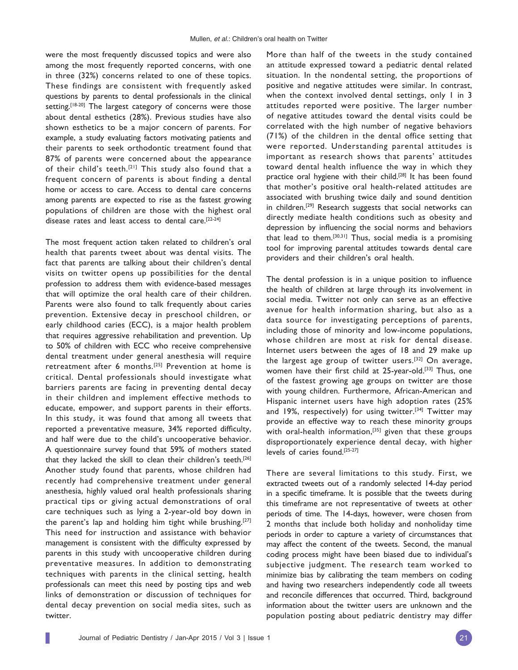were the most frequently discussed topics and were also among the most frequently reported concerns, with one in three (32%) concerns related to one of these topics. These findings are consistent with frequently asked questions by parents to dental professionals in the clinical setting.<sup>[18-20]</sup> The largest category of concerns were those about dental esthetics (28%). Previous studies have also shown esthetics to be a major concern of parents. For example, a study evaluating factors motivating patients and their parents to seek orthodontic treatment found that 87% of parents were concerned about the appearance of their child's teeth.<sup>[21]</sup> This study also found that a frequent concern of parents is about finding a dental home or access to care. Access to dental care concerns among parents are expected to rise as the fastest growing populations of children are those with the highest oral disease rates and least access to dental care.[22-24]

The most frequent action taken related to children's oral health that parents tweet about was dental visits. The fact that parents are talking about their children's dental visits on twitter opens up possibilities for the dental profession to address them with evidence-based messages that will optimize the oral health care of their children. Parents were also found to talk frequently about caries prevention. Extensive decay in preschool children, or early childhood caries (ECC), is a major health problem that requires aggressive rehabilitation and prevention. Up to 50% of children with ECC who receive comprehensive dental treatment under general anesthesia will require retreatment after 6 months.[25] Prevention at home is critical. Dental professionals should investigate what barriers parents are facing in preventing dental decay in their children and implement effective methods to educate, empower, and support parents in their efforts. In this study, it was found that among all tweets that reported a preventative measure, 34% reported difficulty, and half were due to the child's uncooperative behavior. A questionnaire survey found that 59% of mothers stated that they lacked the skill to clean their children's teeth.<sup>[26]</sup> Another study found that parents, whose children had recently had comprehensive treatment under general anesthesia, highly valued oral health professionals sharing practical tips or giving actual demonstrations of oral care techniques such as lying a 2-year-old boy down in the parent's lap and holding him tight while brushing.[27] This need for instruction and assistance with behavior management is consistent with the difficulty expressed by parents in this study with uncooperative children during preventative measures. In addition to demonstrating techniques with parents in the clinical setting, health professionals can meet this need by posting tips and web links of demonstration or discussion of techniques for dental decay prevention on social media sites, such as twitter.

More than half of the tweets in the study contained an attitude expressed toward a pediatric dental related situation. In the nondental setting, the proportions of positive and negative attitudes were similar. In contrast, when the context involved dental settings, only 1 in 3 attitudes reported were positive. The larger number of negative attitudes toward the dental visits could be correlated with the high number of negative behaviors (71%) of the children in the dental office setting that were reported. Understanding parental attitudes is important as research shows that parents' attitudes toward dental health influence the way in which they practice oral hygiene with their child.<sup>[28]</sup> It has been found that mother's positive oral health-related attitudes are associated with brushing twice daily and sound dentition in children.[29] Research suggests that social networks can directly mediate health conditions such as obesity and depression by influencing the social norms and behaviors that lead to them.[30,31] Thus, social media is a promising tool for improving parental attitudes towards dental care providers and their children's oral health.

The dental profession is in a unique position to influence the health of children at large through its involvement in social media. Twitter not only can serve as an effective avenue for health information sharing, but also as a data source for investigating perceptions of parents, including those of minority and low-income populations, whose children are most at risk for dental disease. Internet users between the ages of 18 and 29 make up the largest age group of twitter users.[32] On average, women have their first child at 25-year-old.<sup>[33]</sup> Thus, one of the fastest growing age groups on twitter are those with young children. Furthermore, African-American and Hispanic internet users have high adoption rates (25% and 19%, respectively) for using twitter.<sup>[34]</sup> Twitter may provide an effective way to reach these minority groups with oral-health information,<sup>[35]</sup> given that these groups disproportionately experience dental decay, with higher levels of caries found.[25-27]

There are several limitations to this study. First, we extracted tweets out of a randomly selected 14-day period in a specific timeframe. It is possible that the tweets during this timeframe are not representative of tweets at other periods of time. The 14-days, however, were chosen from 2 months that include both holiday and nonholiday time periods in order to capture a variety of circumstances that may affect the content of the tweets. Second, the manual coding process might have been biased due to individual's subjective judgment. The research team worked to minimize bias by calibrating the team members on coding and having two researchers independently code all tweets and reconcile differences that occurred. Third, background information about the twitter users are unknown and the population posting about pediatric dentistry may differ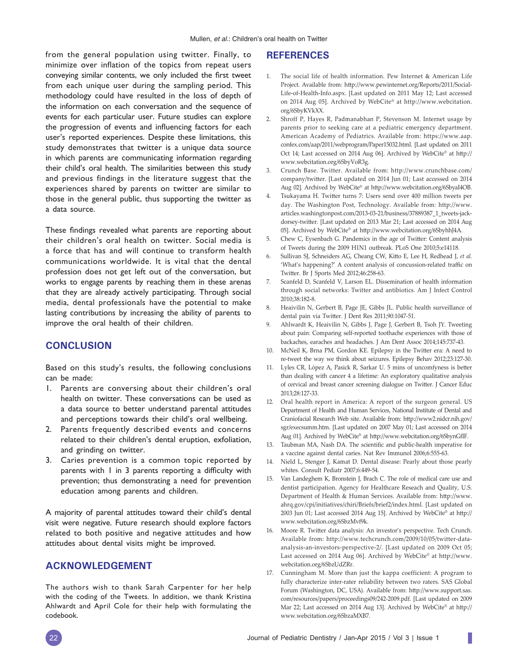from the general population using twitter. Finally, to minimize over inflation of the topics from repeat users conveying similar contents, we only included the first tweet from each unique user during the sampling period. This methodology could have resulted in the loss of depth of the information on each conversation and the sequence of events for each particular user. Future studies can explore the progression of events and influencing factors for each user's reported experiences. Despite these limitations, this study demonstrates that twitter is a unique data source in which parents are communicating information regarding their child's oral health. The similarities between this study and previous findings in the literature suggest that the experiences shared by parents on twitter are similar to those in the general public, thus supporting the twitter as a data source.

These findings revealed what parents are reporting about their children's oral health on twitter. Social media is a force that has and will continue to transform health communications worldwide. It is vital that the dental profession does not get left out of the conversation, but works to engage parents by reaching them in these arenas that they are already actively participating. Through social media, dental professionals have the potential to make lasting contributions by increasing the ability of parents to improve the oral health of their children.

## **CONCLUSION**

Based on this study's results, the following conclusions can be made:

- 1. Parents are conversing about their children's oral health on twitter. These conversations can be used as a data source to better understand parental attitudes and perceptions towards their child's oral wellbeing.
- 2. Parents frequently described events and concerns related to their children's dental eruption, exfoliation, and grinding on twitter.
- 3. Caries prevention is a common topic reported by parents with  $\vert$  in 3 parents reporting a difficulty with prevention; thus demonstrating a need for prevention education among parents and children.

A majority of parental attitudes toward their child's dental visit were negative. Future research should explore factors related to both positive and negative attitudes and how attitudes about dental visits might be improved.

## **ACKNOWLEDGEMENT**

The authors wish to thank Sarah Carpenter for her help with the coding of the Tweets. In addition, we thank Kristina Ahlwardt and April Cole for their help with formulating the codebook.

## **REFERENCES**

- 1. The social life of health information. Pew Internet & American Life Project. Available from: http://www.pewinternet.org/Reports/2011/Social-Life-of-Health-Info.aspx. [Last updated on 2011 May 12; Last accessed on 2014 Aug 05]. Archived by WebCite® at http://www.webcitation. org/6SbyKVkXX.
- 2. Shroff P, Hayes R, Padmanabhan P, Stevenson M. Internet usage by parents prior to seeking care at a pediatric emergency department. American Academy of Pediatrics. Available from: https://www.aap. confex.com/aap/2011/webprogram/Paper15032.html. [Last updated on 2011 Oct 14; Last accessed on 2014 Aug 06]. Archived by WebCite® at http:// www.webcitation.org/6SbyVoR3g.
- 3. Crunch Base. Twitter. Available from: http://www.crunchbase.com/ company/twitter. [Last updated on 2014 Jun 01; Last accessed on 2014 Aug 02]. Archived by WebCite® at http://www.webcitation.org/6SbyaI4OB.
- 4. Tsukayama H. Twitter turns 7: Users send over 400 million tweets per day. The Washington Post, Technology. Available from: http://www. articles.washingtonpost.com/2013-03-21/business/37889387\_1\_tweets-jackdorsey-twitter. [Last updated on 2013 Mar 21; Last accessed on 2014 Aug 05]. Archived by WebCite® at http://www.webcitation.org/6SbyhhJ4A.
- 5. Chew C, Eysenbach G. Pandemics in the age of Twitter: Content analysis of Tweets during the 2009 H1N1 outbreak. PLoS One 2010;5:e14118.
- 6. Sullivan SJ, Schneiders AG, Cheang CW, Kitto E, Lee H, Redhead J, et al. 'What's happening?' A content analysis of concussion-related traffic on Twitter. Br J Sports Med 2012;46:258-63.
- 7. Scanfeld D, Scanfeld V, Larson EL. Dissemination of health information through social networks: Twitter and antibiotics. Am J Infect Control 2010;38:182-8.
- 8. Heaivilin N, Gerbert B, Page JE, Gibbs JL. Public health surveillance of dental pain via Twitter. J Dent Res 2011;90:1047-51.
- 9. Ahlwardt K, Heaivilin N, Gibbs J, Page J, Gerbert B, Tsoh JY. Tweeting about pain: Comparing self-reported toothache experiences with those of backaches, earaches and headaches. J Am Dent Assoc 2014;145:737-43.
- 10. McNeil K, Brna PM, Gordon KE. Epilepsy in the Twitter era: A need to re-tweet the way we think about seizures. Epilepsy Behav 2012;23:127-30.
- 11. Lyles CR, López A, Pasick R, Sarkar U. 5 mins of uncomfyness is better than dealing with cancer 4 a lifetime: An exploratory qualitative analysis of cervical and breast cancer screening dialogue on Twitter. J Cancer Educ 2013;28:127-33.
- 12. Oral health report in America: A report of the surgeon general. US Department of Health and Human Services, National Institute of Dental and Craniofacial Research Web site. Available from: http://www2.nidcr.nih.gov/ sgr/execsumm.htm. [Last updated on 2007 May 01; Last accessed on 2014 Aug 01]. Archived by WebCite® at http://www.webcitation.org/6SbynGfIF.
- 13. Taubman MA, Nash DA. The scientific and public-health imperative for a vaccine against dental caries. Nat Rev Immunol 2006;6:555-63.
- 14. Nield L, Stenger J, Kamat D. Dental disease: Pearly about those pearly whites. Consult Pediatr 2007;6:449-54.
- 15. Van Landeghem K, Bronstein J, Brach C. The role of medical care use and dentist participation. Agency for Healthcare Reseach and Quality, U.S. Department of Health & Human Services. Available from: http://www. ahrq.gov/cpi/initiatives/chiri/Briefs/brief2/index.html. [Last updated on 2003 Jun 01; Last accessed 2014 Aug 15]. Archived by WebCite® at http:// www.webcitation.org/6SbzMvf9k.
- 16. Moore R. Twitter data analysis: An investor's perspective. Tech Crunch. Available from: http://www.techcrunch.com/2009/10/05/twitter-dataanalysis-an-investors-perspective-2/. [Last updated on 2009 Oct 05; Last accessed on 2014 Aug 06]. Archived by WebCite® at http://www. webcitation.org/6SbzUdZRr.
- 17. Cunningham M. More than just the kappa coefficient: A program to fully characterize inter-rater reliability between two raters. SAS Global Forum (Washington, DC, USA). Available from: http://www.support.sas. com/resources/papers/proceedings09/242-2009.pdf. [Last updated on 2009 Mar 22; Last accessed on 2014 Aug 13]. Archived by WebCite® at http:// www.webcitation.org/6SbzaMXB7.